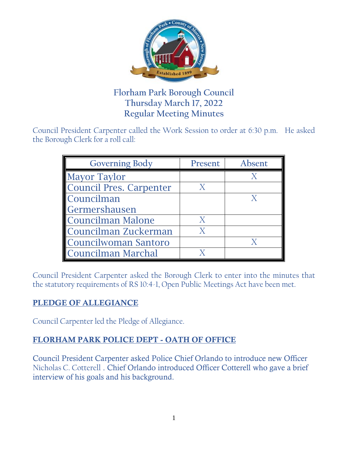

# **Florham Park Borough Council Thursday March 17, 2022 Regular Meeting Minutes**

Council President Carpenter called the Work Session to order at 6:30 p.m. He asked the Borough Clerk for a roll call:

| <b>Governing Body</b>          | Present | Absent |
|--------------------------------|---------|--------|
| <b>Mayor Taylor</b>            |         |        |
| <b>Council Pres. Carpenter</b> |         |        |
| Councilman                     |         |        |
| Germershausen                  |         |        |
| Councilman Malone              |         |        |
| Councilman Zuckerman           |         |        |
| Councilwoman Santoro           |         |        |
| Councilman Marchal             |         |        |

Council President Carpenter asked the Borough Clerk to enter into the minutes that the statutory requirements of RS 10:4-1, Open Public Meetings Act have been met.

## PLEDGE OF ALLEGIANCE

Council Carpenter led the Pledge of Allegiance.

## FLORHAM PARK POLICE DEPT - OATH OF OFFICE

Council President Carpenter asked Police Chief Orlando to introduce new Officer Nicholas C. Cotterell . Chief Orlando introduced Officer Cotterell who gave a brief interview of his goals and his background.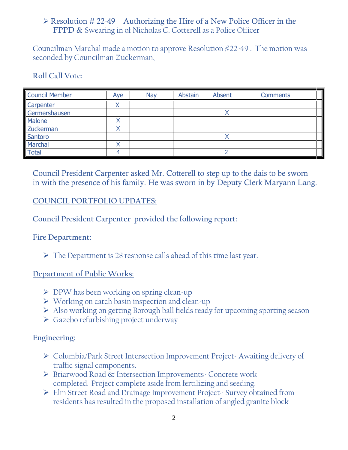## $\triangleright$  Resolution # 22-49 Authorizing the Hire of a New Police Officer in the FPPD & Swearing in of Nicholas C. Cotterell as a Police Officer

Councilman Marchal made a motion to approve Resolution #22-49 . The motion was seconded by Councilman Zuckerman,

#### **Roll Call Vote:**

| <b>Council Member</b> | Aye | Nay | Abstain | Absent | <b>Comments</b> |
|-----------------------|-----|-----|---------|--------|-----------------|
| Carpenter             |     |     |         |        |                 |
| Germershausen         |     |     |         |        |                 |
| Malone                |     |     |         |        |                 |
| Zuckerman             |     |     |         |        |                 |
| Santoro               |     |     |         |        |                 |
| Marchal               |     |     |         |        |                 |
| <b>Total</b>          |     |     |         |        |                 |

Council President Carpenter asked Mr. Cotterell to step up to the dais to be sworn in with the presence of his family. He was sworn in by Deputy Clerk Maryann Lang.

### **COUNCIL PORTFOLIO UPDATES:**

**Council President Carpenter provided the following report:**

#### **Fire Department:**

 $\triangleright$  The Department is 28 response calls ahead of this time last year.

#### **Department of Public Works:**

- $\triangleright$  DPW has been working on spring clean-up
- $\triangleright$  Working on catch basin inspection and clean-up
- Also working on getting Borough ball fields ready for upcoming sporting season
- $\triangleright$  Gazebo refurbishing project underway

#### **Engineering:**

- Columbia/Park Street Intersection Improvement Project- Awaiting delivery of traffic signal components.
- Briarwood Road & Intersection Improvements- Concrete work completed. Project complete aside from fertilizing and seeding.
- Elm Street Road and Drainage Improvement Project- Survey obtained from residents has resulted in the proposed installation of angled granite block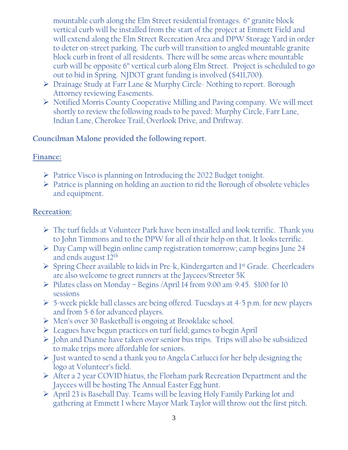mountable curb along the Elm Street residential frontages. 6" granite block vertical curb will be installed from the start of the project at Emmett Field and will extend along the Elm Street Recreation Area and DPW Storage Yard in order to deter on-street parking. The curb will transition to angled mountable granite block curb in front of all residents. There will be some areas where mountable curb will be opposite 6" vertical curb along Elm Street. Project is scheduled to go out to bid in Spring. NJDOT grant funding is involved (\$411,700).

- Drainage Study at Farr Lane & Murphy Circle- Nothing to report. Borough Attorney reviewing Easements.
- Notified Morris County Cooperative Milling and Paving company. We will meet shortly to review the following roads to be paved: Murphy Circle, Farr Lane, Indian Lane, Cherokee Trail, Overlook Drive, and Driftway.

## **Councilman Malone provided the following report**.

### **Finance:**

- $\triangleright$  Patrice Visco is planning on Introducing the 2022 Budget tonight.
- $\triangleright$  Patrice is planning on holding an auction to rid the Borough of obsolete vehicles and equipment.

### **Recreation:**

- The turf fields at Volunteer Park have been installed and look terrific. Thank you to John Timmons and to the DPW for all of their help on that. It looks terrific.
- Day Camp will begin online camp registration tomorrow; camp begins June 24 and ends august 12th
- $\triangleright$  Spring Cheer available to kids in Pre-k, Kindergarten and 1<sup>st</sup> Grade. Cheerleaders are also welcome to greet runners at the Jaycees/Streeter 5K
- $\triangleright$  Pilates class on Monday Begins /April 14 from 9:00 am-9:45. \$100 for 10 sessions
- $\triangleright$  5-week pickle ball classes are being offered. Tuesdays at 4-5 p.m. for new players and from 5-6 for advanced players.
- Men's over 30 Basketball is ongoing at Brooklake school.
- Leagues have begun practices on turf field; games to begin April
- $\triangleright$  John and Dianne have taken over senior bus trips. Trips will also be subsidized to make trips more affordable for seniors.
- $\triangleright$  Just wanted to send a thank you to Angela Carlucci for her help designing the logo at Volunteer's field.
- After a 2 year COVID hiatus, the Florham park Recreation Department and the Jaycees will be hosting The Annual Easter Egg hunt.
- $\triangleright$  April 23 is Baseball Day. Teams will be leaving Holy Family Parking lot and gathering at Emmett I where Mayor Mark Taylor will throw out the first pitch.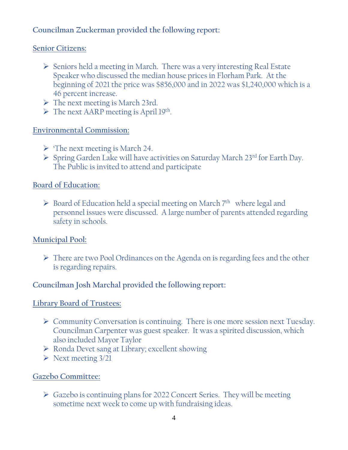## **Councilman Zuckerman provided the following report:**

#### **Senior Citizens:**

- $\triangleright$  Seniors held a meeting in March. There was a very interesting Real Estate Speaker who discussed the median house prices in Florham Park. At the beginning of 2021 the price was \$856,000 and in 2022 was \$1,240,000 which is a 46 percent increase.
- $\triangleright$  The next meeting is March 23rd.
- > The next AARP meeting is April 19th.

## **Environmental Commission:**

- $\triangleright$  The next meeting is March 24.
- $\triangleright$  Spring Garden Lake will have activities on Saturday March 23<sup>rd</sup> for Earth Day. The Public is invited to attend and participate

### **Board of Education:**

 $\triangleright$  Board of Education held a special meeting on March  $7<sup>th</sup>$  where legal and personnel issues were discussed. A large number of parents attended regarding safety in schools.

## **Municipal Pool:**

 There are two Pool Ordinances on the Agenda on is regarding fees and the other is regarding repairs.

## **Councilman Josh Marchal provided the following report:**

#### **Library Board of Trustees:**

- $\triangleright$  Community Conversation is continuing. There is one more session next Tuesday. Councilman Carpenter was guest speaker. It was a spirited discussion, which also included Mayor Taylor
- Ronda Devet sang at Library; excellent showing
- $\triangleright$  Next meeting 3/21

## **Gazebo Committee:**

 Gazebo is continuing plans for 2022 Concert Series. They will be meeting sometime next week to come up with fundraising ideas.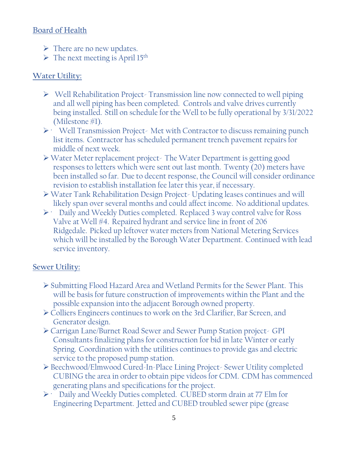## Board of Health

- $\triangleright$  There are no new updates.
- $\triangleright$  The next meeting is April 15<sup>th</sup>

# **Water Utility:**

- $\triangleright$  Well Rehabilitation Project-Transmission line now connected to well piping and all well piping has been completed. Controls and valve drives currently being installed. Still on schedule for the Well to be fully operational by 3/31/2022 (Milestone #1).
- $\triangleright$  Well Transmission Project-Met with Contractor to discuss remaining punch list items. Contractor has scheduled permanent trench pavement repairs for middle of next week.
- Water Meter replacement project- The Water Department is getting good responses to letters which were sent out last month. Twenty (20) meters have been installed so far. Due to decent response, the Council will consider ordinance revision to establish installation fee later this year, if necessary.
- Water Tank Rehabilitation Design Project- Updating leases continues and will likely span over several months and could affect income. No additional updates.
- $\triangleright$  Daily and Weekly Duties completed. Replaced 3 way control valve for Ross Valve at Well #4. Repaired hydrant and service line in front of 206 Ridgedale. Picked up leftover water meters from National Metering Services which will be installed by the Borough Water Department. Continued with lead service inventory.

## **Sewer Utility:**

- Submitting Flood Hazard Area and Wetland Permits for the Sewer Plant. This will be basis for future construction of improvements within the Plant and the possible expansion into the adjacent Borough owned property.
- Colliers Engineers continues to work on the 3rd Clarifier, Bar Screen, and Generator design.
- Carrigan Lane/Burnet Road Sewer and Sewer Pump Station project- GPI Consultants finalizing plans for construction for bid in late Winter or early Spring. Coordination with the utilities continues to provide gas and electric service to the proposed pump station.
- Beechwood/Elmwood Cured-In-Place Lining Project- Sewer Utility completed CUBING the area in order to obtain pipe videos for CDM. CDM has commenced generating plans and specifications for the project.
- · Daily and Weekly Duties completed. CUBED storm drain at 77 Elm for Engineering Department. Jetted and CUBED troubled sewer pipe (grease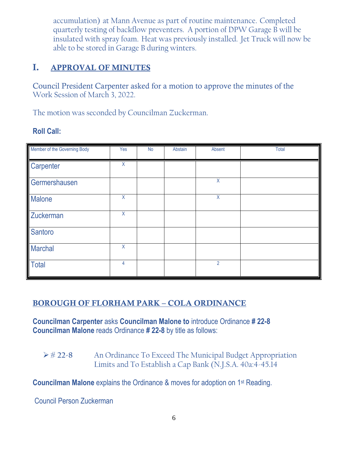accumulation) at Mann Avenue as part of routine maintenance. Completed quarterly testing of backflow preventers. A portion of DPW Garage B will be insulated with spray foam. Heat was previously installed. Jet Truck will now be able to be stored in Garage B during winters.

# I. APPROVAL OF MINUTES

Council President Carpenter asked for a motion to approve the minutes of the Work Session of March 3, 2022.

The motion was seconded by Councilman Zuckerman.

## **Roll Call:**

| Member of the Governing Body | Yes | <b>No</b> | Abstain | Absent         | Total |
|------------------------------|-----|-----------|---------|----------------|-------|
| Carpenter                    | X   |           |         |                |       |
| Germershausen                |     |           |         | $\sf X$        |       |
| Malone                       | X   |           |         | X              |       |
| Zuckerman                    | X   |           |         |                |       |
| Santoro                      |     |           |         |                |       |
| <b>Marchal</b>               | X   |           |         |                |       |
| Total                        | 4   |           |         | $\overline{2}$ |       |

# BOROUGH OF FLORHAM PARK – COLA ORDINANCE

**Councilman Carpenter** asks **Councilman Malone to** introduce Ordinance **# 22-8 Councilman Malone** reads Ordinance **# 22-8** by title as follows:

 **# 22-8** An Ordinance To Exceed The Municipal Budget Appropriation Limits and To Establish a Cap Bank (N.J.S.A. 40a:4-45.14

**Councilman Malone** explains the Ordinance & moves for adoption on 1st Reading.

Council Person Zuckerman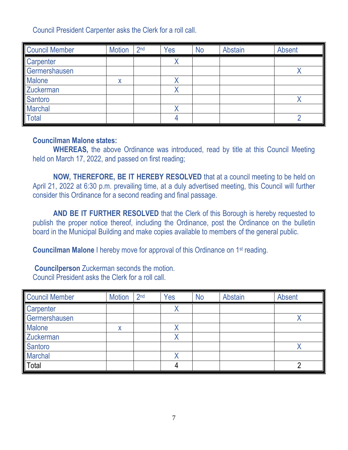Council President Carpenter asks the Clerk for a roll call.

| <b>Council Member</b> | <b>Motion</b> | 2 <sub>nd</sub> | Yes | <b>No</b> | <b>Abstain</b> | Absent |
|-----------------------|---------------|-----------------|-----|-----------|----------------|--------|
| Carpenter             |               |                 |     |           |                |        |
| Germershausen         |               |                 |     |           |                |        |
| <b>Malone</b>         |               |                 |     |           |                |        |
| <b>Zuckerman</b>      |               |                 | '   |           |                |        |
| Santoro               |               |                 |     |           |                |        |
| <b>Marchal</b>        |               |                 |     |           |                |        |
| <b>Total</b>          |               |                 |     |           |                |        |

#### **Councilman Malone states:**

**WHEREAS,** the above Ordinance was introduced, read by title at this Council Meeting held on March 17, 2022, and passed on first reading;

**NOW, THEREFORE, BE IT HEREBY RESOLVED** that at a council meeting to be held on April 21, 2022 at 6:30 p.m. prevailing time, at a duly advertised meeting, this Council will further consider this Ordinance for a second reading and final passage.

**AND BE IT FURTHER RESOLVED** that the Clerk of this Borough is hereby requested to publish the proper notice thereof, including the Ordinance, post the Ordinance on the bulletin board in the Municipal Building and make copies available to members of the general public.

**Councilman Malone** I hereby move for approval of this Ordinance on 1<sup>st</sup> reading.

**Councilperson** Zuckerman seconds the motion. Council President asks the Clerk for a roll call.

| <b>Council Member</b> | <b>Motion</b> | 2 <sub>nd</sub> | Yes | <b>No</b> | Abstain | Absent |
|-----------------------|---------------|-----------------|-----|-----------|---------|--------|
| Carpenter             |               |                 |     |           |         |        |
| Germershausen         |               |                 |     |           |         |        |
| <b>Malone</b>         |               |                 |     |           |         |        |
| Zuckerman             |               |                 |     |           |         |        |
| Santoro               |               |                 |     |           |         |        |
| <b>Marchal</b>        |               |                 |     |           |         |        |
| Total                 |               |                 |     |           |         |        |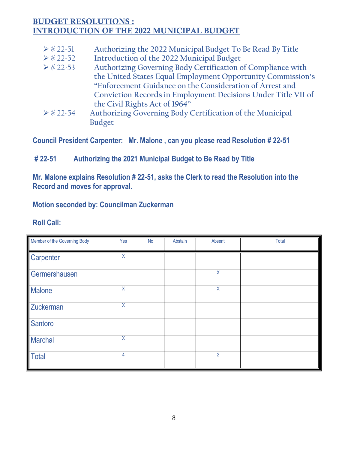## BUDGET RESOLUTIONS : INTRODUCTION OF THE 2022 MUNICIPAL BUDGET

- # 22-51 **Authorizing the 2022 Municipal Budget To Be Read By Title**
- # 22-52 **Introduction of the 2022 Municipal Budget**
- # 22-53 **Authorizing Governing Body Certification of Compliance with the United States Equal Employment Opportunity Commission's "Enforcement Guidance on the Consideration of Arrest and Conviction Records in Employment Decisions Under Title VII of the Civil Rights Act of 1964"**
- # 22-54 **Authorizing Governing Body Certification of the Municipal Budget**

**Council President Carpenter: Mr. Malone , can you please read Resolution # 22-51**

## **# 22-51 Authorizing the 2021 Municipal Budget to Be Read by Title**

**Mr. Malone explains Resolution # 22-51, asks the Clerk to read the Resolution into the Record and moves for approval.** 

## **Motion seconded by: Councilman Zuckerman**

## **Roll Call:**

| Member of the Governing Body | Yes     | <b>No</b> | Abstain | Absent         | Total |
|------------------------------|---------|-----------|---------|----------------|-------|
| Carpenter                    | $\sf X$ |           |         |                |       |
| Germershausen                |         |           |         | X              |       |
| Malone                       | X       |           |         | X              |       |
| Zuckerman                    | X       |           |         |                |       |
| Santoro                      |         |           |         |                |       |
| <b>Marchal</b>               | X       |           |         |                |       |
| <b>Total</b>                 | 4       |           |         | $\overline{2}$ |       |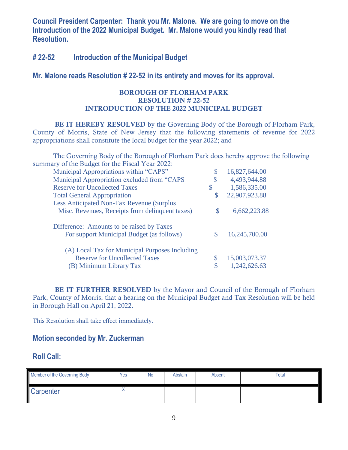**Council President Carpenter: Thank you Mr. Malone. We are going to move on the Introduction of the 2022 Municipal Budget. Mr. Malone would you kindly read that Resolution.**

#### **# 22-52 Introduction of the Municipal Budget**

#### **Mr. Malone reads Resolution # 22-52 in its entirety and moves for its approval.**

#### BOROUGH OF FLORHAM PARK RESOLUTION # 22-52 INTRODUCTION OF THE 2022 MUNICIPAL BUDGET

BE IT HEREBY RESOLVED by the Governing Body of the Borough of Florham Park, County of Morris, State of New Jersey that the following statements of revenue for 2022 appropriations shall constitute the local budget for the year 2022; and

The Governing Body of the Borough of Florham Park does hereby approve the following summary of the Budget for the Fiscal Year 2022:

| Municipal Appropriations within "CAPS"           |    | 16,827,644.00 |
|--------------------------------------------------|----|---------------|
| Municipal Appropriation excluded from "CAPS      |    | 4,493,944.88  |
| <b>Reserve for Uncollected Taxes</b>             | \$ | 1,586,335.00  |
| <b>Total General Appropriation</b>               | \$ | 22,907,923.88 |
| <b>Less Anticipated Non-Tax Revenue (Surplus</b> |    |               |
| Misc. Revenues, Receipts from delinquent taxes)  | S  | 6,662,223.88  |
| Difference: Amounts to be raised by Taxes        |    |               |
| For support Municipal Budget (as follows)        |    | 16,245,700.00 |
| (A) Local Tax for Municipal Purposes Including   |    |               |
| <b>Reserve for Uncollected Taxes</b>             |    | 15,003,073.37 |
| (B) Minimum Library Tax                          |    | 1,242,626.63  |

**BE IT FURTHER RESOLVED** by the Mayor and Council of the Borough of Florham Park, County of Morris, that a hearing on the Municipal Budget and Tax Resolution will be held in Borough Hall on April 21, 2022.

This Resolution shall take effect immediately.

#### **Motion seconded by Mr. Zuckerman**

#### **Roll Call:**

| Member of the Governing Body | Yes | No | Abstain | <b>Absent</b> | <b>Total</b> |
|------------------------------|-----|----|---------|---------------|--------------|
| Carpenter                    |     |    |         |               |              |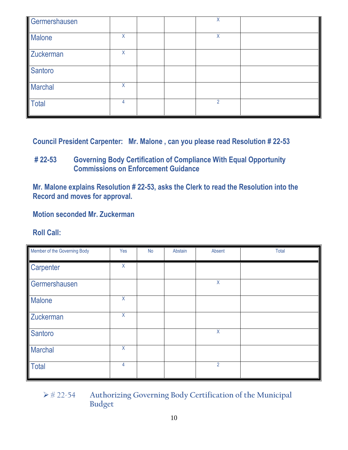| Germershausen  |   |  | X |  |
|----------------|---|--|---|--|
| <b>Malone</b>  | Χ |  | Χ |  |
| Zuckerman      | Χ |  |   |  |
| Santoro        |   |  |   |  |
| <b>Marchal</b> | X |  |   |  |
| Total          |   |  | 2 |  |

**Council President Carpenter: Mr. Malone , can you please read Resolution # 22-53**

## **# 22-53 Governing Body Certification of Compliance With Equal Opportunity Commissions on Enforcement Guidance**

**Mr. Malone explains Resolution # 22-53, asks the Clerk to read the Resolution into the Record and moves for approval.** 

**Motion seconded Mr. Zuckerman**

## **Roll Call:**

| Member of the Governing Body | Yes     | No | Abstain | Absent         | Total |
|------------------------------|---------|----|---------|----------------|-------|
| Carpenter                    | X       |    |         |                |       |
| Germershausen                |         |    |         | X              |       |
| <b>Malone</b>                | $\sf X$ |    |         |                |       |
| Zuckerman                    | X       |    |         |                |       |
| Santoro                      |         |    |         | $\sf X$        |       |
| <b>Marchal</b>               | $\sf X$ |    |         |                |       |
| Total                        | 4       |    |         | $\overline{2}$ |       |

 # 22-54 **Authorizing Governing Body Certification of the Municipal Budget**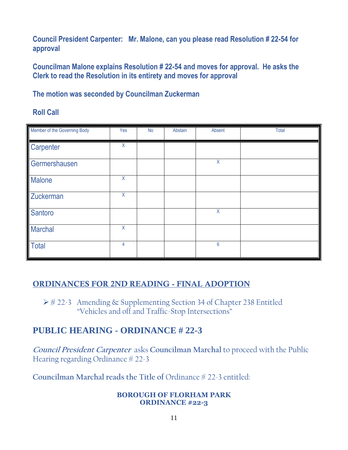**Council President Carpenter: Mr. Malone, can you please read Resolution # 22-54 for approval**

**Councilman Malone explains Resolution # 22-54 and moves for approval. He asks the Clerk to read the Resolution in its entirety and moves for approval**

**The motion was seconded by Councilman Zuckerman**

**Roll Call**

| Member of the Governing Body | Yes            | <b>No</b> | Abstain | Absent  | Total |
|------------------------------|----------------|-----------|---------|---------|-------|
| Carpenter                    | X              |           |         |         |       |
| Germershausen                |                |           |         | $\sf X$ |       |
| <b>Malone</b>                | $\overline{X}$ |           |         |         |       |
| Zuckerman                    | X              |           |         |         |       |
| Santoro                      |                |           |         | $\sf X$ |       |
| <b>Marchal</b>               | X              |           |         |         |       |
| <b>Total</b>                 | 4              |           |         | 6       |       |

## ORDINANCES FOR 2ND READING - FINAL ADOPTION

 **#** 22-3Amending & Supplementing Section 34 of Chapter 238 Entitled "Vehicles and off and Traffic-Stop Intersections"

# **PUBLIC HEARING - ORDINANCE # 22-3**

**Council President Carpenter** asks **Councilman Marchal** to proceed with the Public Hearing regarding Ordinance  $\frac{4}{22-3}$ 

**Councilman Marchal reads the Title of** Ordinance # 22-3 entitled:

#### **BOROUGH OF FLORHAM PARK ORDINANCE #22-3**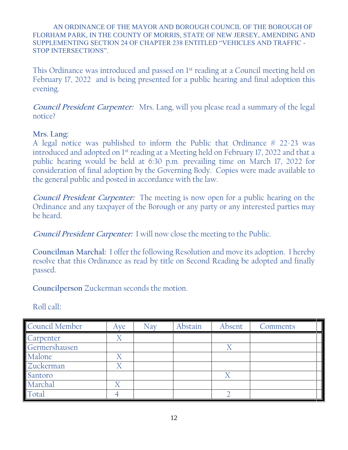AN ORDINANCE OF THE MAYOR AND BOROUGH COUNCIL OF THE BOROUGH OF FLORHAM PARK, IN THE COUNTY OF MORRIS, STATE OF NEW JERSEY, AMENDING AND SUPPLEMENTING SECTION 24 OF CHAPTER 238 ENTITLED "VEHICLES AND TRAFFIC - STOP INTERSECTIONS".

This Ordinance was introduced and passed on 1st reading at a Council meeting held on February 17, 2022 and is being presented for a public hearing and final adoption this evening.

**Council President Carpenter:** Mrs. Lang, will you please read a summary of the legal notice?

#### **Mrs. Lang:**

A legal notice was published to inform the Public that Ordinance  $\frac{4}{3}$  22-23 was introduced and adopted on 1st reading at a Meeting held on February 17, 2022 and that a public hearing would be held at 6:30 p.m. prevailing time on March 17, 2022 for consideration of final adoption by the Governing Body. Copies were made available to the general public and posted in accordance with the law.

**Council President Carpenter:** The meeting is now open for a public hearing on the Ordinance and any taxpayer of the Borough or any party or any interested parties may be heard.

**Council President Carpenter:** I will now close the meeting to the Public.

**Councilman Marchal:** I offer the following Resolution and move its adoption. I hereby resolve that this Ordinance as read by title on Second Reading be adopted and finally passed.

**Councilperson** Zuckerman seconds the motion.

Roll call:

| Council Member | Aye | Nav | Abstain | Absent | Comments |
|----------------|-----|-----|---------|--------|----------|
| Carpenter      |     |     |         |        |          |
| Germershausen  |     |     |         |        |          |
| Malone         |     |     |         |        |          |
| Zuckerman      |     |     |         |        |          |
| Santoro        |     |     |         | X      |          |
| Marchal        |     |     |         |        |          |
| Total          |     |     |         |        |          |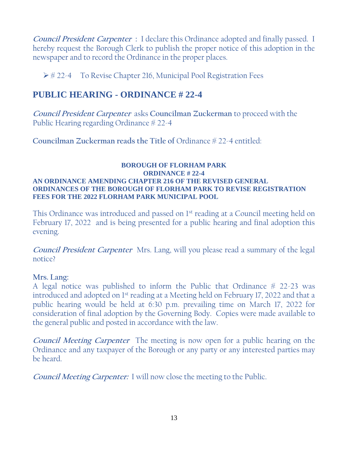**Council President Carpenter :** I declare this Ordinance adopted and finally passed. I hereby request the Borough Clerk to publish the proper notice of this adoption in the newspaper and to record the Ordinance in the proper places.

 $\triangleright$  # 22-4 To Revise Chapter 216, Municipal Pool Registration Fees

# **PUBLIC HEARING - ORDINANCE # 22-4**

**Council President Carpenter** asks **Councilman Zuckerman** to proceed with the Public Hearing regarding Ordinance  $\frac{4}{22}$ -4

**Councilman Zuckerman reads the Title of** Ordinance # 22-4 entitled:

#### **BOROUGH OF FLORHAM PARK ORDINANCE # 22-4 AN ORDINANCE AMENDING CHAPTER 216 OF THE REVISED GENERAL ORDINANCES OF THE BOROUGH OF FLORHAM PARK TO REVISE REGISTRATION FEES FOR THE 2022 FLORHAM PARK MUNICIPAL POOL**

This Ordinance was introduced and passed on 1<sup>st</sup> reading at a Council meeting held on February 17, 2022 and is being presented for a public hearing and final adoption this evening.

**Council President Carpenter** Mrs. Lang, will you please read a summary of the legal notice?

## **Mrs. Lang:**

A legal notice was published to inform the Public that Ordinance  $# 22-23$  was introduced and adopted on 1st reading at a Meeting held on February 17, 2022 and that a public hearing would be held at 6:30 p.m. prevailing time on March 17, 2022 for consideration of final adoption by the Governing Body. Copies were made available to the general public and posted in accordance with the law.

**Council Meeting Carpenter** The meeting is now open for a public hearing on the Ordinance and any taxpayer of the Borough or any party or any interested parties may be heard.

**Council Meeting Carpenter:** I will now close the meeting to the Public.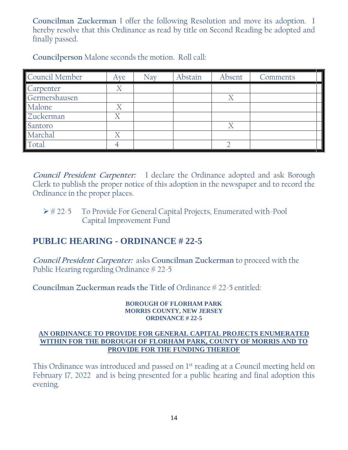**Councilman Zuckerman** I offer the following Resolution and move its adoption. I hereby resolve that this Ordinance as read by title on Second Reading be adopted and finally passed.

| Council Member | Aye                   | Nav | Abstain | Absent         | Comments |
|----------------|-----------------------|-----|---------|----------------|----------|
| Carpenter      |                       |     |         |                |          |
| Germershausen  |                       |     |         | $\overline{X}$ |          |
| Malone         |                       |     |         |                |          |
| Zuckerman      |                       |     |         |                |          |
| Santoro        |                       |     |         |                |          |
| Marchal        | $\overline{\text{X}}$ |     |         |                |          |
| Total          |                       |     |         |                |          |

**Councilperson** Malone seconds the motion. Roll call:

**Council President Carpenter:** I declare the Ordinance adopted and ask Borough Clerk to publish the proper notice of this adoption in the newspaper and to record the Ordinance in the proper places.

## ▶ # 22-5 To Provide For General Capital Projects, Enumerated with-Pool Capital Improvement Fund

# **PUBLIC HEARING - ORDINANCE # 22-5**

**Council President Carpenter:** asks **Councilman Zuckerman** to proceed with the Public Hearing regarding Ordinance  $\frac{4}{22}$ -5

**Councilman Zuckerman reads the Title of** Ordinance # 22-5 entitled:

#### **BOROUGH OF FLORHAM PARK MORRIS COUNTY, NEW JERSEY ORDINANCE # 22-5**

#### **AN ORDINANCE TO PROVIDE FOR GENERAL CAPITAL PROJECTS ENUMERATED WITHIN FOR THE BOROUGH OF FLORHAM PARK, COUNTY OF MORRIS AND TO PROVIDE FOR THE FUNDING THEREOF**

This Ordinance was introduced and passed on 1<sup>st</sup> reading at a Council meeting held on February 17, 2022 and is being presented for a public hearing and final adoption this evening.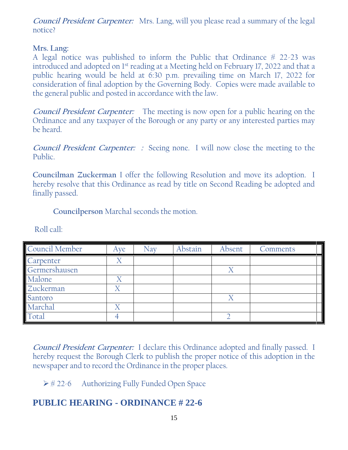**Council President Carpenter:** Mrs. Lang, will you please read a summary of the legal notice?

### **Mrs. Lang:**

A legal notice was published to inform the Public that Ordinance  $# 22-23$  was introduced and adopted on 1st reading at a Meeting held on February 17, 2022 and that a public hearing would be held at 6:30 p.m. prevailing time on March 17, 2022 for consideration of final adoption by the Governing Body. Copies were made available to the general public and posted in accordance with the law.

**Council President Carpenter:** The meeting is now open for a public hearing on the Ordinance and any taxpayer of the Borough or any party or any interested parties may be heard.

**Council President Carpenter: :** Seeing none. I will now close the meeting to the Public.

**Councilman Zuckerman** I offer the following Resolution and move its adoption. I hereby resolve that this Ordinance as read by title on Second Reading be adopted and finally passed.

**Councilperson** Marchal seconds the motion.

| Council Member | Aye | Nav | Abstain | Absent | Comments |
|----------------|-----|-----|---------|--------|----------|
| Carpenter      |     |     |         |        |          |
| Germershausen  |     |     |         |        |          |
| Malone         |     |     |         |        |          |
| Zuckerman      |     |     |         |        |          |
| Santoro        |     |     |         |        |          |
| Marchal        |     |     |         |        |          |
| Total          |     |     |         |        |          |

Roll call:

**Council President Carpenter:** I declare this Ordinance adopted and finally passed. I hereby request the Borough Clerk to publish the proper notice of this adoption in the newspaper and to record the Ordinance in the proper places.

 $\triangleright \# 22-6$  Authorizing Fully Funded Open Space

# **PUBLIC HEARING - ORDINANCE # 22-6**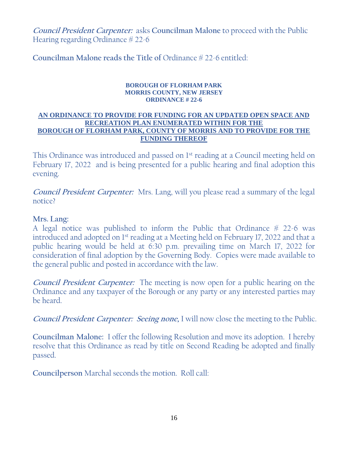**Council President Carpenter:** asks **Councilman Malone** to proceed with the Public Hearing regarding Ordinance # 22-6

**Councilman Malone reads the Title of** Ordinance # 22-6 entitled:

#### **BOROUGH OF FLORHAM PARK MORRIS COUNTY, NEW JERSEY ORDINANCE # 22-6**

#### **AN ORDINANCE TO PROVIDE FOR FUNDING FOR AN UPDATED OPEN SPACE AND RECREATION PLAN ENUMERATED WITHIN FOR THE BOROUGH OF FLORHAM PARK, COUNTY OF MORRIS AND TO PROVIDE FOR THE FUNDING THEREOF**

This Ordinance was introduced and passed on 1<sup>st</sup> reading at a Council meeting held on February 17, 2022 and is being presented for a public hearing and final adoption this evening.

**Council President Carpenter:** Mrs. Lang, will you please read a summary of the legal notice?

### **Mrs. Lang:**

A legal notice was published to inform the Public that Ordinance  $\frac{4}{3}$  22-6 was introduced and adopted on 1<sup>st</sup> reading at a Meeting held on February 17, 2022 and that a public hearing would be held at 6:30 p.m. prevailing time on March 17, 2022 for consideration of final adoption by the Governing Body. Copies were made available to the general public and posted in accordance with the law.

**Council President Carpenter:** The meeting is now open for a public hearing on the Ordinance and any taxpayer of the Borough or any party or any interested parties may be heard.

**Council President Carpenter: Seeing none,** I will now close the meeting to the Public.

**Councilman Malone:** I offer the following Resolution and move its adoption. I hereby resolve that this Ordinance as read by title on Second Reading be adopted and finally passed.

**Councilperson** Marchal seconds the motion. Roll call: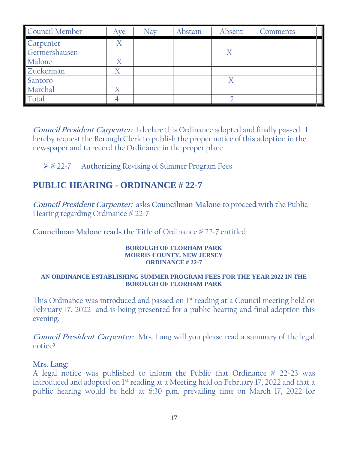| Council Member | Ave | Nav | Abstain | Absent | Comments |
|----------------|-----|-----|---------|--------|----------|
| Carpenter      |     |     |         |        |          |
| Germershausen  |     |     |         |        |          |
| Malone         |     |     |         |        |          |
| Zuckerman      |     |     |         |        |          |
| Santoro        |     |     |         |        |          |
| Marchal        |     |     |         |        |          |
| Total          |     |     |         |        |          |

**Council President Carpenter:** I declare this Ordinance adopted and finally passed. I hereby request the Borough Clerk to publish the proper notice of this adoption in the newspaper and to record the Ordinance in the proper place

 $\triangleright\#22$ -7 Authorizing Revising of Summer Program Fees

# **PUBLIC HEARING - ORDINANCE # 22-7**

**Council President Carpenter:** asks **Councilman Malone** to proceed with the Public Hearing regarding Ordinance  $\frac{4}{22}$ -7

**Councilman Malone reads the Title of** Ordinance # 22-7 entitled:

#### **BOROUGH OF FLORHAM PARK MORRIS COUNTY, NEW JERSEY ORDINANCE # 22-7**

#### **AN ORDINANCE ESTABLISHING SUMMER PROGRAM FEES FOR THE YEAR 2022 IN THE BOROUGH OF FLORHAM PARK**

This Ordinance was introduced and passed on 1<sup>st</sup> reading at a Council meeting held on February 17, 2022 and is being presented for a public hearing and final adoption this evening.

**Council President Carpenter:** Mrs. Lang will you please read a summary of the legal notice?

#### **Mrs. Lang:**

A legal notice was published to inform the Public that Ordinance  $\frac{4}{3}$  22-23 was introduced and adopted on 1st reading at a Meeting held on February 17, 2022 and that a public hearing would be held at 6:30 p.m. prevailing time on March 17, 2022 for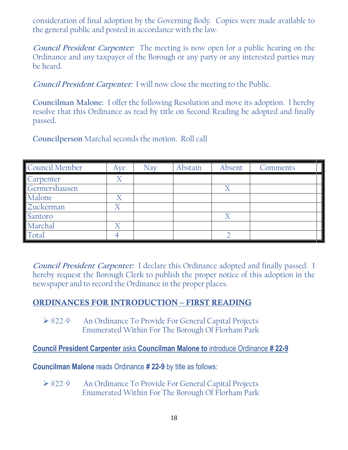consideration of final adoption by the Governing Body. Copies were made available to the general public and posted in accordance with the law.

**Council President Carpenter:** The meeting is now open for a public hearing on the Ordinance and any taxpayer of the Borough or any party or any interested parties may be heard.

**Council President Carpenter:** I will now close the meeting to the Public.

**Councilman Malone:** I offer the following Resolution and move its adoption. I hereby resolve that this Ordinance as read by title on Second Reading be adopted and finally passed.

**Councilperson** Marchal seconds the motion. Roll call

| Council Member | Ave . | <b>Nav</b> | Abstain | Absent | Comments |
|----------------|-------|------------|---------|--------|----------|
| Carpenter      |       |            |         |        |          |
| Germershausen  |       |            |         |        |          |
| Malone         |       |            |         |        |          |
| Zuckerman      |       |            |         |        |          |
| Santoro        |       |            |         | Δ      |          |
| Marchal        |       |            |         |        |          |
| Total          |       |            |         |        |          |

**Council President Carpenter:** I declare this Ordinance adopted and finally passed. I hereby request the Borough Clerk to publish the proper notice of this adoption in the newspaper and to record the Ordinance in the proper places.

## ORDINANCES FOR INTRODUCTION – FIRST READING

▶ #22-9 An Ordinance To Provide For General Capital Projects Enumerated Within For The Borough Of Florham Park

**Council President Carpenter** asks **Councilman Malone to** introduce Ordinance **# 22-9**

**Councilman Malone** reads Ordinance **# 22-9** by title as follows:

**► #22-9** An Ordinance To Provide For General Capital Projects Enumerated Within For The Borough Of Florham Park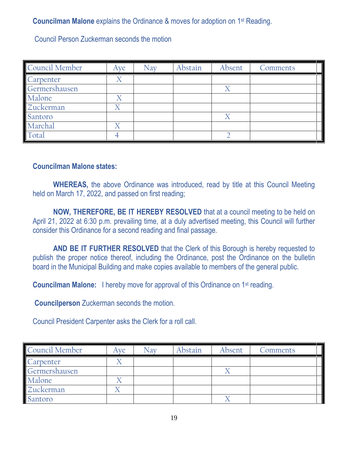**Councilman Malone** explains the Ordinance & moves for adoption on 1st Reading.

Council Person Zuckerman seconds the motion

| Council Member | Ave | Nav | Abstain | Absent | Comments |
|----------------|-----|-----|---------|--------|----------|
| Carpenter      |     |     |         |        |          |
| Germershausen  |     |     |         |        |          |
| Malone         |     |     |         |        |          |
| Zuckerman      |     |     |         |        |          |
| Santoro        |     |     |         | Χ      |          |
| Marchal        |     |     |         |        |          |
| Total          |     |     |         |        |          |

#### **Councilman Malone states:**

**WHEREAS,** the above Ordinance was introduced, read by title at this Council Meeting held on March 17, 2022, and passed on first reading;

**NOW, THEREFORE, BE IT HEREBY RESOLVED** that at a council meeting to be held on April 21, 2022 at 6:30 p.m. prevailing time, at a duly advertised meeting, this Council will further consider this Ordinance for a second reading and final passage.

**AND BE IT FURTHER RESOLVED** that the Clerk of this Borough is hereby requested to publish the proper notice thereof, including the Ordinance, post the Ordinance on the bulletin board in the Municipal Building and make copies available to members of the general public.

**Councilman Malone:** I hereby move for approval of this Ordinance on 1<sup>st</sup> reading.

**Councilperson** Zuckerman seconds the motion.

Council President Carpenter asks the Clerk for a roll call.

| <b>Council Member</b> | Ave | Nav | Abstain | Absent | Comments |
|-----------------------|-----|-----|---------|--------|----------|
| Carpenter             |     |     |         |        |          |
| Germershausen         |     |     |         |        |          |
| Malone                |     |     |         |        |          |
| Zuckerman             |     |     |         |        |          |
| Santoro               |     |     |         |        |          |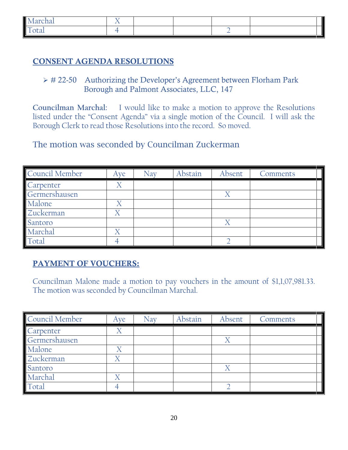| ہ ما<br>$\sim$<br>CHAI<br>TMT |  |  | Τ<br>Ш |
|-------------------------------|--|--|--------|
| $\overline{ }$<br>uu.<br>-    |  |  |        |

## CONSENT AGENDA RESOLUTIONS

 $\triangleright$  # 22-50 Authorizing the Developer's Agreement between Florham Park Borough and Palmont Associates, LLC, 147

**Councilman Marchal:** I would like to make a motion to approve the Resolutions listed under the "Consent Agenda" via a single motion of the Council. I will ask the Borough Clerk to read those Resolutions into the record. So moved.

The motion was seconded by Councilman Zuckerman

| Council Member | Aye | <b>Nav</b> | Abstain | Absent | Comments |
|----------------|-----|------------|---------|--------|----------|
| Carpenter      |     |            |         |        |          |
| Germershausen  |     |            |         | Χ      |          |
| Malone         |     |            |         |        |          |
| Zuckerman      |     |            |         |        |          |
| Santoro        |     |            |         |        |          |
| Marchal        |     |            |         |        |          |
| Total          |     |            |         |        |          |

## PAYMENT OF VOUCHERS:

Councilman Malone made a motion to pay vouchers in the amount of \$1,1,07,981.33. The motion was seconded by Councilman Marchal.

| Council Member | Ave                   | Nav | Abstain | Absent            | Comments |
|----------------|-----------------------|-----|---------|-------------------|----------|
| Carpenter      |                       |     |         |                   |          |
| Germershausen  |                       |     |         | $\rm\overline{X}$ |          |
| Malone         |                       |     |         |                   |          |
| Zuckerman      |                       |     |         |                   |          |
| Santoro        |                       |     |         | X                 |          |
| Marchal        | $\boldsymbol{\nabla}$ |     |         |                   |          |
| Total          |                       |     |         |                   |          |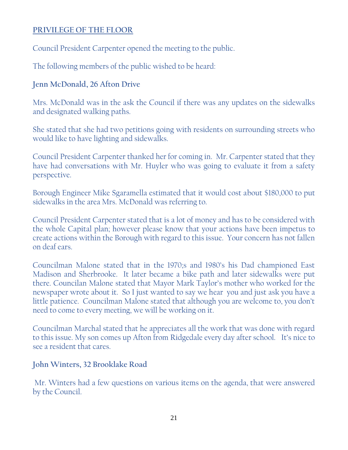## **PRIVILEGE OF THE FLOOR**

Council President Carpenter opened the meeting to the public.

The following members of the public wished to be heard:

## **Jenn McDonald, 26 Afton Drive**

Mrs. McDonald was in the ask the Council if there was any updates on the sidewalks and designated walking paths.

She stated that she had two petitions going with residents on surrounding streets who would like to have lighting and sidewalks.

Council President Carpenter thanked her for coming in. Mr. Carpenter stated that they have had conversations with Mr. Huyler who was going to evaluate it from a safety perspective.

Borough Engineer Mike Sgaramella estimated that it would cost about \$180,000 to put sidewalks in the area Mrs. McDonald was referring to.

Council President Carpenter stated that is a lot of money and has to be considered with the whole Capital plan; however please know that your actions have been impetus to create actions within the Borough with regard to this issue. Your concern has not fallen on deaf ears.

Councilman Malone stated that in the 1970;s and 1980's his Dad championed East Madison and Sherbrooke. It later became a bike path and later sidewalks were put there. Councilan Malone stated that Mayor Mark Taylor's mother who worked for the newspaper wrote about it. So I just wanted to say we hear you and just ask you have a little patience. Councilman Malone stated that although you are welcome to, you don't need to come to every meeting, we will be working on it.

Councilman Marchal stated that he appreciates all the work that was done with regard to this issue. My son comes up Afton from Ridgedale every day after school. It's nice to see a resident that cares.

## **John Winters, 32 Brooklake Road**

Mr. Winters had a few questions on various items on the agenda, that were answered by the Council.